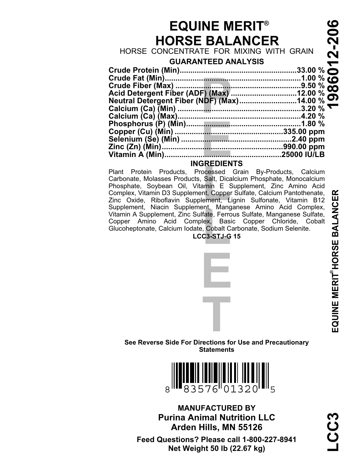# **EQUINE MERIT® HORSE BALANCER**

# **GUARANTEED ANALYSIS**

| <b>EQUINE MERIT®</b>                    | ဖ<br>0 |  |  |  |  |  |
|-----------------------------------------|--------|--|--|--|--|--|
| <b>HORSE BALANCER</b>                   | Ņ      |  |  |  |  |  |
| HORSE CONCENTRATE FOR MIXING WITH GRAIN |        |  |  |  |  |  |
| <b>GUARANTEED ANALYSIS</b>              | 27     |  |  |  |  |  |
|                                         |        |  |  |  |  |  |
|                                         |        |  |  |  |  |  |
|                                         |        |  |  |  |  |  |
|                                         |        |  |  |  |  |  |
|                                         |        |  |  |  |  |  |
|                                         |        |  |  |  |  |  |
|                                         |        |  |  |  |  |  |
|                                         |        |  |  |  |  |  |
|                                         |        |  |  |  |  |  |
|                                         |        |  |  |  |  |  |
|                                         |        |  |  |  |  |  |
| <b>INGREDIENTS</b>                      |        |  |  |  |  |  |

**DICENT**<br>
Docessed<br>
Salt, Dica<br>
amin E S<br>
nt, Copper<br>
ement, L<br>
ent, Mang Supplement, Niacin Supplement, Manganese Amino Acid Complex,<br>Vitamin A Supplement, Zinc Sulfate, Ferrous Sulfate, Manganese Sulfate,<br>Copper Amino Acid Complex, Basic Copper Chloride, Cobalt<br>Glucoheptonate, Calcium Iodate, Plant Protein Products, Processed Grain By-Products, Calcium Carbonate, Molasses Products, Salt, Dicalcium Phosphate, Monocalcium Phosphate, Soybean Oil, Vitamin E Supplement, Zinc Amino Acid Complex, Vitamin D3 Supplement, Copper Sulfate, Calcium Pantothenate, Zinc Oxide, Riboflavin Supplement, Lignin Sulfonate, Vitamin B12 Copper Amino Acid Complex, Basic Copper Chloride, Cobalt Glucoheptonate, Calcium Iodate, Cobalt Carbonate, Sodium Selenite.



**E**

# **T See Reverse Side For Directions for Use and Precautionary Statements**



**Net Weight 50 lb (22.67 kg) Feed Questions? Please call 1-800-227-8941 Arden Hills, MN 55126 Purina Animal Nutrition LLC MANUFACTURED BY**

# **LCC3 1986012-206 EQUINE MERIT®HORSE BALANCER COUNE MERIT HORSE BALANCER**

ر:<br>ٻ